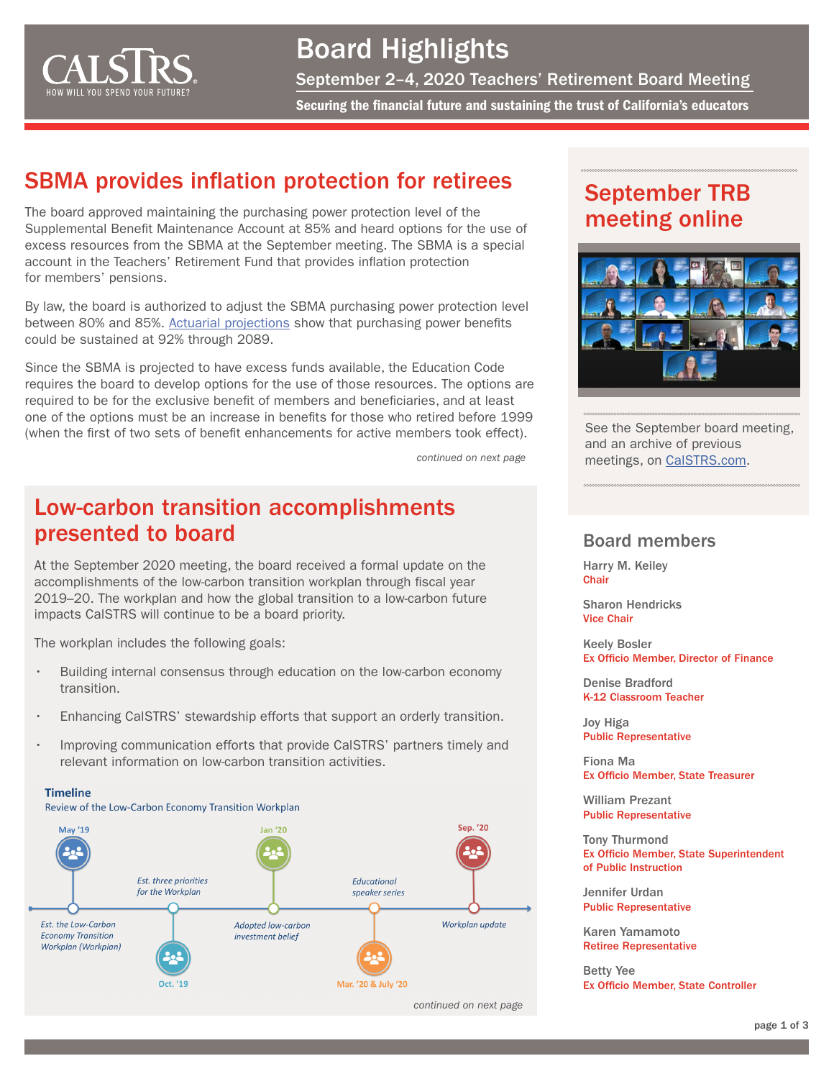

Board Highlights September 2–4, 2020 Teachers' Retirement Board Meeting

Securing the financial future and sustaining the trust of California's educators

### SBMA provides inflation protection for retirees

The board approved maintaining the purchasing power protection level of the Supplemental Benefit Maintenance Account at 85% and heard options for the use of excess resources from the SBMA at the September meeting. The SBMA is a special account in the Teachers' Retirement Fund that provides inflation protection for members' pensions.

By law, the board is authorized to adjust the SBMA purchasing power protection level between 80% and 85%. [Actuarial projections](https://resources.calstrs.com/publicdocs/Page/CommonPage.aspx?PageName=DocumentDownload&Id=9aaca121-8d8d-4a3b-ab51-3695a5cde8ac) show that purchasing power benefits could be sustained at 92% through 2089.

Since the SBMA is projected to have excess funds available, the Education Code requires the board to develop options for the use of those resources. The options are required to be for the exclusive benefit of members and beneficiaries, and at least one of the options must be an increase in benefits for those who retired before 1999 (when the first of two sets of benefit enhancements for active members took effect).

*continued on next page*

### Low-carbon transition accomplishments presented to board

At the September 2020 meeting, the board received a formal update on the accomplishments of the low-carbon transition workplan through fiscal year 2019–20. The workplan and how the global transition to a low-carbon future impacts CalSTRS will continue to be a board priority.

The workplan includes the following goals:

**Timeline** 

- Building internal consensus through education on the low-carbon economy transition.
- Enhancing CalSTRS' stewardship efforts that support an orderly transition.
- Improving communication efforts that provide CalSTRS' partners timely and relevant information on low-carbon transition activities.



*continued on next page*

### September TRB meeting online



See the September board meeting, and an archive of previous meetings, on [CalSTRS.com](https://www.calstrs.com/board-meeting-video-archive).

#### Board members

Harry M. Keiley **Chair** 

Sharon Hendricks Vice Chair

Keely Bosler Ex Officio Member, Director of Finance

Denise Bradford K-12 Classroom Teacher

Joy Higa Public Representative

Fiona Ma Ex Officio Member, State Treasurer

William Prezant Public Representative

Tony Thurmond Ex Officio Member, State Superintendent of Public Instruction

Jennifer Urdan Public Representative

Karen Yamamoto Retiree Representative

Betty Yee Ex Officio Member, State Controller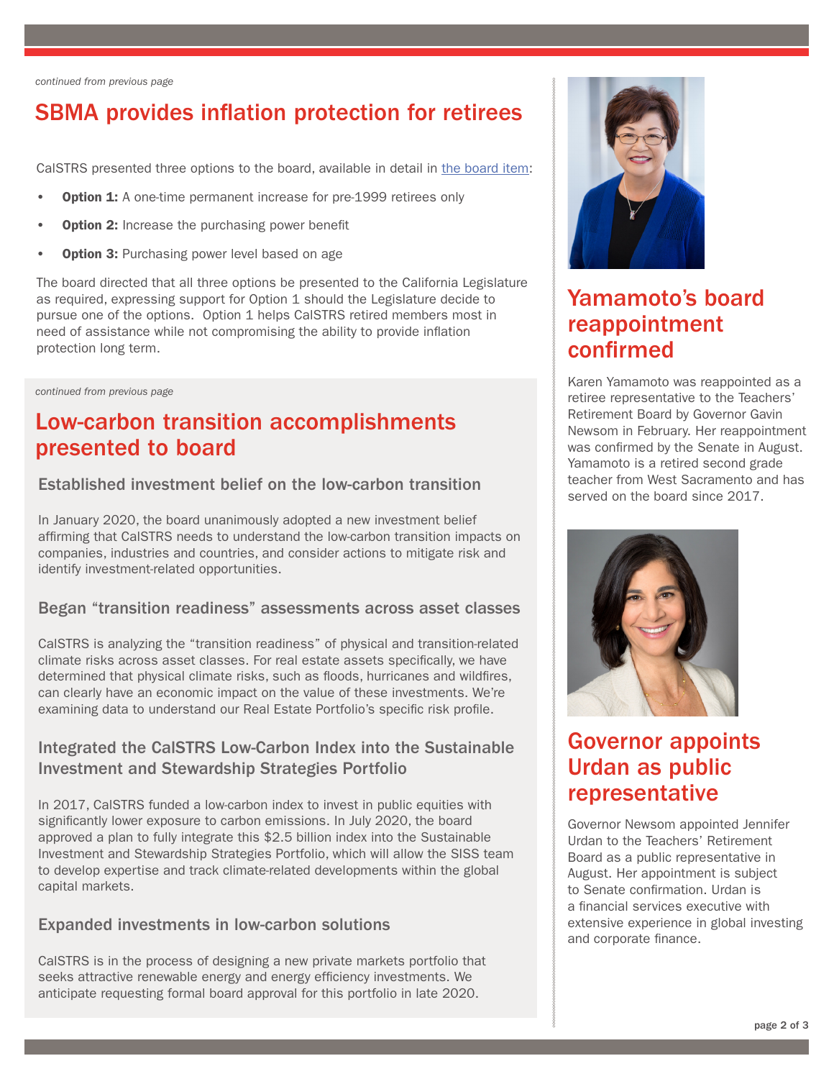*continued from previous page*

## SBMA provides inflation protection for retirees

CalSTRS presented three options to the board, available in detail in [the board item](https://resources.calstrs.com/publicdocs/Page/CommonPage.aspx?PageName=DocumentDownload&Id=de37a9c2-e5d4-482b-9005-761c7731095e):

- Option 1: A one-time permanent increase for pre-1999 retirees only
- **Option 2:** Increase the purchasing power benefit
- Option 3: Purchasing power level based on age

The board directed that all three options be presented to the California Legislature as required, expressing support for Option 1 should the Legislature decide to pursue one of the options. Option 1 helps CalSTRS retired members most in need of assistance while not compromising the ability to provide inflation protection long term.

*continued from previous page*

### Low-carbon transition accomplishments presented to board

#### Established investment belief on the low-carbon transition

In January 2020, the board unanimously adopted a new investment belief affirming that CalSTRS needs to understand the low-carbon transition impacts on companies, industries and countries, and consider actions to mitigate risk and identify investment-related opportunities.

#### Began "transition readiness" assessments across asset classes

CalSTRS is analyzing the "transition readiness" of physical and transition-related climate risks across asset classes. For real estate assets specifically, we have determined that physical climate risks, such as floods, hurricanes and wildfires, can clearly have an economic impact on the value of these investments. We're examining data to understand our Real Estate Portfolio's specific risk profile.

#### Integrated the CalSTRS Low-Carbon Index into the Sustainable Investment and Stewardship Strategies Portfolio

In 2017, CalSTRS funded a low-carbon index to invest in public equities with significantly lower exposure to carbon emissions. In July 2020, the board approved a plan to fully integrate this \$2.5 billion index into the Sustainable Investment and Stewardship Strategies Portfolio, which will allow the SISS team to develop expertise and track climate-related developments within the global capital markets.

#### Expanded investments in low-carbon solutions

CalSTRS is in the process of designing a new private markets portfolio that seeks attractive renewable energy and energy efficiency investments. We anticipate requesting formal board approval for this portfolio in late 2020.



## Yamamoto's board reappointment confirmed

Karen Yamamoto was reappointed as a retiree representative to the Teachers' Retirement Board by Governor Gavin Newsom in February. Her reappointment was confirmed by the Senate in August. Yamamoto is a retired second grade teacher from West Sacramento and has served on the board since 2017.



## Governor appoints Urdan as public representative

Governor Newsom appointed Jennifer Urdan to the Teachers' Retirement Board as a public representative in August. Her appointment is subject to Senate confirmation. Urdan is a financial services executive with extensive experience in global investing and corporate finance.